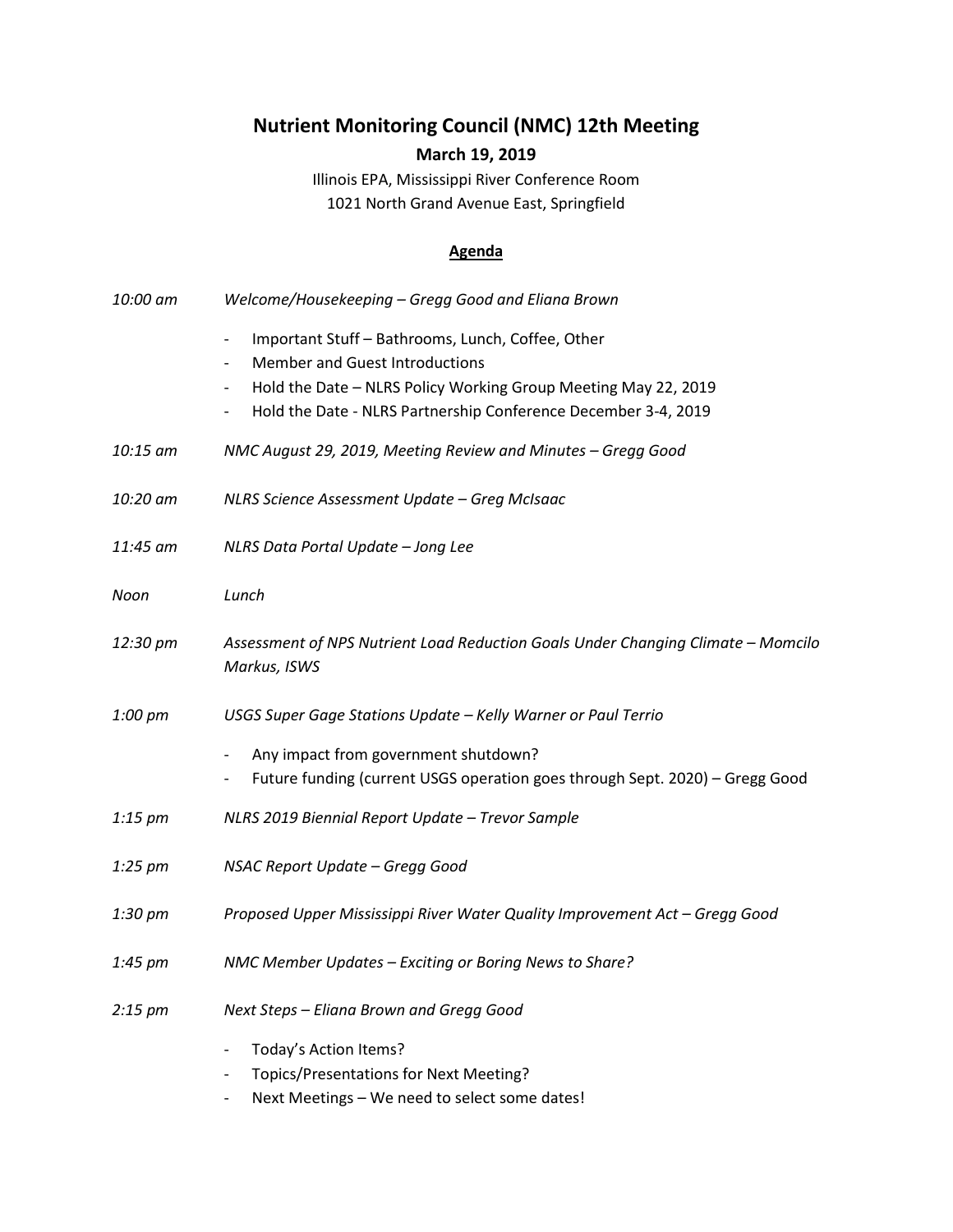## **Nutrient Monitoring Council (NMC) 12th Meeting March 19, 2019**

Illinois EPA, Mississippi River Conference Room 1021 North Grand Avenue East, Springfield

## **Agenda**

| 10:00 am          | Welcome/Housekeeping - Gregg Good and Eliana Brown                                                                                                                                                                                                                                                                 |
|-------------------|--------------------------------------------------------------------------------------------------------------------------------------------------------------------------------------------------------------------------------------------------------------------------------------------------------------------|
|                   | Important Stuff - Bathrooms, Lunch, Coffee, Other<br>$\overline{\phantom{a}}$<br><b>Member and Guest Introductions</b><br>$\overline{\phantom{a}}$<br>Hold the Date - NLRS Policy Working Group Meeting May 22, 2019<br>$\overline{\phantom{a}}$<br>Hold the Date - NLRS Partnership Conference December 3-4, 2019 |
| 10:15 am          | NMC August 29, 2019, Meeting Review and Minutes - Gregg Good                                                                                                                                                                                                                                                       |
| 10:20 am          | NLRS Science Assessment Update - Greg McIsaac                                                                                                                                                                                                                                                                      |
| 11:45 am          | NLRS Data Portal Update - Jong Lee                                                                                                                                                                                                                                                                                 |
| Noon              | Lunch                                                                                                                                                                                                                                                                                                              |
| 12:30 pm          | Assessment of NPS Nutrient Load Reduction Goals Under Changing Climate - Momcilo<br>Markus, ISWS                                                                                                                                                                                                                   |
| 1:00 pm           | USGS Super Gage Stations Update - Kelly Warner or Paul Terrio                                                                                                                                                                                                                                                      |
|                   | Any impact from government shutdown?<br>Future funding (current USGS operation goes through Sept. 2020) - Gregg Good<br>$\overline{\phantom{a}}$                                                                                                                                                                   |
| $1:15$ pm         | NLRS 2019 Biennial Report Update - Trevor Sample                                                                                                                                                                                                                                                                   |
| $1:25$ pm         | NSAC Report Update - Gregg Good                                                                                                                                                                                                                                                                                    |
| $1:30 \text{ pm}$ | Proposed Upper Mississippi River Water Quality Improvement Act - Gregg Good                                                                                                                                                                                                                                        |
| $1:45$ pm         | NMC Member Updates - Exciting or Boring News to Share?                                                                                                                                                                                                                                                             |
| $2:15 \text{ pm}$ | Next Steps - Eliana Brown and Gregg Good                                                                                                                                                                                                                                                                           |
|                   | Today's Action Items?<br>$\overline{\phantom{a}}$<br>Topics/Presentations for Next Meeting?<br>Next Meetings - We need to select some dates!                                                                                                                                                                       |